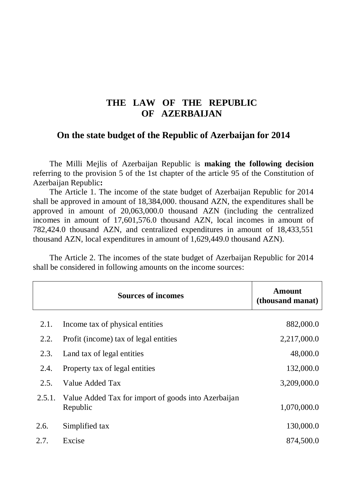## **THE LAW OF THE REPUBLIC OF AZERBAIJAN**

## **On the state budget of the Republic of Azerbaijan for 2014**

The Milli Mejlis of Azerbaijan Republic is **making the following decision** referring to the provision 5 of the 1st chapter of the article 95 of the Constitution of Azerbaijan Republic**:** 

The Article 1. The income of the state budget of Azerbaijan Republic for 2014 shall be approved in amount of 18,384,000. thousand AZN, the expenditures shall be approved in amount of 20,063,000.0 thousand AZN (including the centralized incomes in amount of 17,601,576.0 thousand AZN, local incomes in amount of 782,424.0 thousand AZN, and centralized expenditures in amount of 18,433,551 thousand AZN, local expenditures in amount of 1,629,449.0 thousand AZN).

The Article 2. The incomes of the state budget of Azerbaijan Republic for 2014 shall be considered in following amounts on the income sources:

|        | <b>Sources of incomes</b>                                       | <b>Amount</b><br>(thousand manat) |
|--------|-----------------------------------------------------------------|-----------------------------------|
| 2.1.   | Income tax of physical entities                                 | 882,000.0                         |
| 2.2.   | Profit (income) tax of legal entities                           | 2,217,000.0                       |
| 2.3.   | Land tax of legal entities                                      | 48,000.0                          |
| 2.4.   | Property tax of legal entities                                  | 132,000.0                         |
| 2.5.   | Value Added Tax                                                 | 3,209,000.0                       |
| 2.5.1. | Value Added Tax for import of goods into Azerbaijan<br>Republic | 1,070,000.0                       |
| 2.6.   | Simplified tax                                                  | 130,000.0                         |
| 2.7.   | Excise                                                          | 874,500.0                         |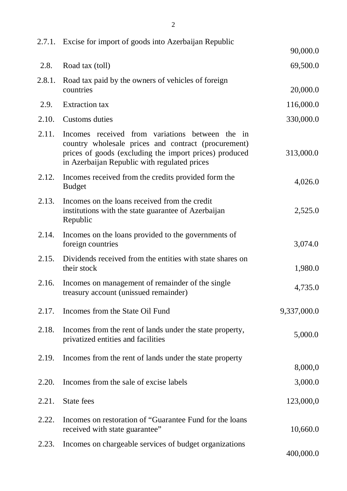|        | 2.7.1. Excise for import of goods into Azerbaijan Republic                                                                                                                                                       |             |
|--------|------------------------------------------------------------------------------------------------------------------------------------------------------------------------------------------------------------------|-------------|
|        |                                                                                                                                                                                                                  | 90,000.0    |
| 2.8.   | Road tax (toll)                                                                                                                                                                                                  | 69,500.0    |
| 2.8.1. | Road tax paid by the owners of vehicles of foreign<br>countries                                                                                                                                                  | 20,000.0    |
| 2.9.   | <b>Extraction</b> tax                                                                                                                                                                                            | 116,000.0   |
| 2.10.  | Customs duties                                                                                                                                                                                                   | 330,000.0   |
| 2.11.  | Incomes received from variations between the in<br>country wholesale prices and contract (procurement)<br>prices of goods (excluding the import prices) produced<br>in Azerbaijan Republic with regulated prices | 313,000.0   |
| 2.12.  | Incomes received from the credits provided form the<br><b>Budget</b>                                                                                                                                             | 4,026.0     |
| 2.13.  | Incomes on the loans received from the credit<br>institutions with the state guarantee of Azerbaijan<br>Republic                                                                                                 | 2,525.0     |
| 2.14.  | Incomes on the loans provided to the governments of<br>foreign countries                                                                                                                                         | 3,074.0     |
| 2.15.  | Dividends received from the entities with state shares on<br>their stock                                                                                                                                         | 1,980.0     |
| 2.16.  | Incomes on management of remainder of the single<br>treasury account (unissued remainder)                                                                                                                        | 4,735.0     |
| 2.17.  | Incomes from the State Oil Fund                                                                                                                                                                                  | 9,337,000.0 |
| 2.18.  | Incomes from the rent of lands under the state property,<br>privatized entities and facilities                                                                                                                   | 5,000.0     |
| 2.19.  | Incomes from the rent of lands under the state property                                                                                                                                                          | 8,000,0     |
| 2.20.  | Incomes from the sale of excise labels                                                                                                                                                                           | 3,000.0     |
| 2.21.  | State fees                                                                                                                                                                                                       | 123,000,0   |
| 2.22.  | Incomes on restoration of "Guarantee Fund for the loans"<br>received with state guarantee"                                                                                                                       | 10,660.0    |
| 2.23.  | Incomes on chargeable services of budget organizations                                                                                                                                                           | 400,000.0   |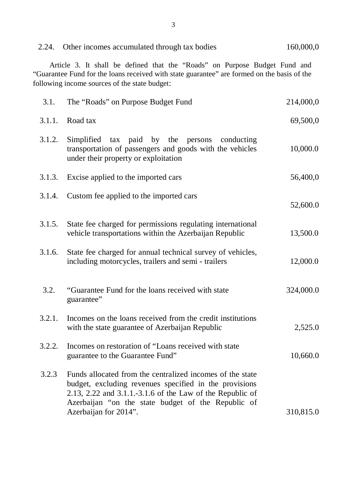| 2.24.  | Other incomes accumulated through tax bodies                                                                                                                                                                                                                    | 160,000,0 |
|--------|-----------------------------------------------------------------------------------------------------------------------------------------------------------------------------------------------------------------------------------------------------------------|-----------|
|        | Article 3. It shall be defined that the "Roads" on Purpose Budget Fund and<br>"Guarantee Fund for the loans received with state guarantee" are formed on the basis of the<br>following income sources of the state budget:                                      |           |
| 3.1.   | The "Roads" on Purpose Budget Fund                                                                                                                                                                                                                              | 214,000,0 |
| 3.1.1. | Road tax                                                                                                                                                                                                                                                        | 69,500,0  |
| 3.1.2. | Simplified tax paid by the persons<br>conducting<br>transportation of passengers and goods with the vehicles<br>under their property or exploitation                                                                                                            | 10,000.0  |
| 3.1.3. | Excise applied to the imported cars                                                                                                                                                                                                                             | 56,400,0  |
| 3.1.4. | Custom fee applied to the imported cars                                                                                                                                                                                                                         | 52,600.0  |
| 3.1.5. | State fee charged for permissions regulating international<br>vehicle transportations within the Azerbaijan Republic                                                                                                                                            | 13,500.0  |
| 3.1.6. | State fee charged for annual technical survey of vehicles,<br>including motorcycles, trailers and semi - trailers                                                                                                                                               | 12,000.0  |
| 3.2.   | "Guarantee Fund for the loans received with state<br>guarantee"                                                                                                                                                                                                 | 324,000.0 |
| 3.2.1. | Incomes on the loans received from the credit institutions<br>with the state guarantee of Azerbaijan Republic                                                                                                                                                   | 2,525.0   |
| 3.2.2. | Incomes on restoration of "Loans received with state"<br>guarantee to the Guarantee Fund"                                                                                                                                                                       | 10,660.0  |
| 3.2.3  | Funds allocated from the centralized incomes of the state<br>budget, excluding revenues specified in the provisions<br>2.13, 2.22 and 3.1.1.-3.1.6 of the Law of the Republic of<br>Azerbaijan "on the state budget of the Republic of<br>Azerbaijan for 2014". | 310,815.0 |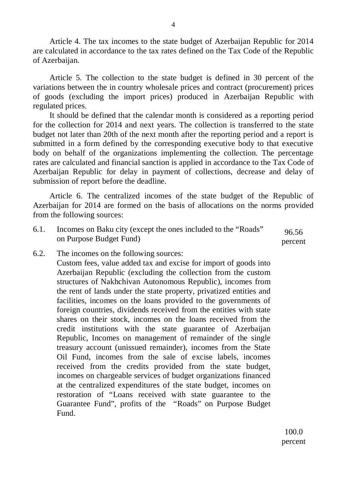Article 4. The tax incomes to the state budget of Azerbaijan Republic for 2014 are calculated in accordance to the tax rates defined on the Tax Code of the Republic of Azerbaijan.

Article 5. The collection to the state budget is defined in 30 percent of the variations between the in country wholesale prices and contract (procurement) prices of goods (excluding the import prices) produced in Azerbaijan Republic with regulated prices.

It should be defined that the calendar month is considered as a reporting period for the collection for 2014 and next years. The collection is transferred to the state budget not later than 20th of the next month after the reporting period and a report is submitted in a form defined by the corresponding executive body to that executive body on behalf of the organizations implementing the collection. The percentage rates are calculated and financial sanction is applied in accordance to the Tax Code of Azerbaijan Republic for delay in payment of collections, decrease and delay of submission of report before the deadline.

Article 6. The centralized incomes of the state budget of the Republic of Azerbaijan for 2014 are formed on the basis of allocations on the norms provided from the following sources:

- 6.1. Incomes on Baku city (except the ones included to the "Roads" on Purpose Budget Fund) 96.56 percent
- 6.2. The incomes on the following sources:

Custom fees, value added tax and excise for import of goods into Azerbaijan Republic (excluding the collection from the custom structures of Nakhchivan Autonomous Republic), incomes from the rent of lands under the state property, privatized entities and facilities, incomes on the loans provided to the governments of foreign countries, dividends received from the entities with state shares on their stock, incomes on the loans received from the credit institutions with the state guarantee of Azerbaijan Republic, Incomes on management of remainder of the single treasury account (unissued remainder), incomes from the State Oil Fund, incomes from the sale of excise labels, incomes received from the credits provided from the state budget, incomes on chargeable services of budget organizations financed at the centralized expenditures of the state budget, incomes on restoration of "Loans received with state guarantee to the Guarantee Fund", profits of the "Roads" on Purpose Budget Fund.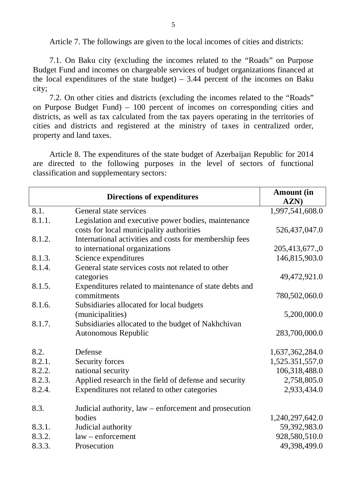Article 7. The followings are given to the local incomes of cities and districts:

7.1. On Baku city (excluding the incomes related to the "Roads" on Purpose Budget Fund and incomes on chargeable services of budget organizations financed at the local expenditures of the state budget)  $-3.44$  percent of the incomes on Baku city;

7.2. On other cities and districts (excluding the incomes related to the "Roads" on Purpose Budget Fund) – 100 percent of incomes on corresponding cities and districts, as well as tax calculated from the tax payers operating in the territories of cities and districts and registered at the ministry of taxes in centralized order, property and land taxes.

Article 8. The expenditures of the state budget of Azerbaijan Republic for 2014 are directed to the following purposes in the level of sectors of functional classification and supplementary sectors:

| 1,997,541,608.0<br>526,437,047.0<br>205,413,677.,0<br>146,815,903.0 |
|---------------------------------------------------------------------|
|                                                                     |
|                                                                     |
|                                                                     |
|                                                                     |
|                                                                     |
|                                                                     |
|                                                                     |
| 49,472,921.0                                                        |
|                                                                     |
| 780,502,060.0                                                       |
|                                                                     |
| 5,200,000.0                                                         |
|                                                                     |
| 283,700,000.0                                                       |
| 1,637,362,284.0                                                     |
| 1,525.351,557.0                                                     |
| 106,318,488.0                                                       |
| 2,758,805.0                                                         |
| 2,933,434.0                                                         |
|                                                                     |
| 1,240,297,642.0                                                     |
| 59,392,983.0                                                        |
| 928,580,510.0                                                       |
| 49,398,499.0                                                        |
|                                                                     |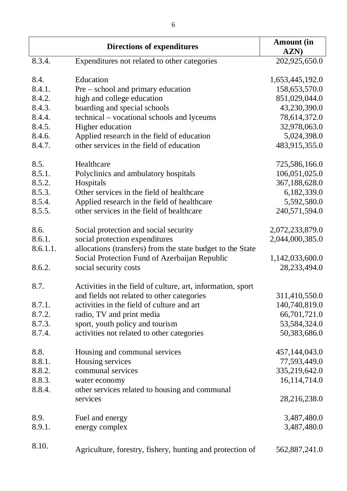|          | <b>Directions of expenditures</b>                           | <b>Amount</b> (in<br>AZN) |
|----------|-------------------------------------------------------------|---------------------------|
| 8.3.4.   | Expenditures not related to other categories                | 202,925,650.0             |
| 8.4.     | Education                                                   | 1,653,445,192.0           |
| 8.4.1.   | Pre – school and primary education                          | 158,653,570.0             |
| 8.4.2.   | high and college education                                  | 851,029,044.0             |
| 8.4.3.   | boarding and special schools                                | 43,230,390.0              |
| 8.4.4.   | technical – vocational schools and lyceums                  | 78,614,372.0              |
| 8.4.5.   | Higher education                                            | 32,978,063.0              |
| 8.4.6.   | Applied research in the field of education                  | 5,024,398.0               |
| 8.4.7.   | other services in the field of education                    | 483,915,355.0             |
|          |                                                             |                           |
| 8.5.     | Healthcare                                                  | 725,586,166.0             |
| 8.5.1.   | Polyclinics and ambulatory hospitals                        | 106,051,025.0             |
| 8.5.2.   | Hospitals                                                   | 367,188,628.0             |
| 8.5.3.   | Other services in the field of healthcare                   | 6,182,339.0               |
| 8.5.4.   | Applied research in the field of healthcare                 | 5,592,580.0               |
| 8.5.5.   | other services in the field of healthcare                   | 240,571,594.0             |
| 8.6.     | Social protection and social security                       | 2,072,233,879.0           |
| 8.6.1.   | social protection expenditures                              | 2,044,000,385.0           |
| 8.6.1.1. | allocations (transfers) from the state budget to the State  |                           |
|          | Social Protection Fund of Azerbaijan Republic               | 1,142,033,600.0           |
| 8.6.2.   | social security costs                                       | 28, 233, 494. 0           |
|          |                                                             |                           |
| 8.7.     | Activities in the field of culture, art, information, sport |                           |
|          | and fields not related to other categories                  | 311,410,550.0             |
| 8.7.1.   | activities in the field of culture and art                  | 140,740,819.0             |
| 8.7.2.   | radio, TV and print media                                   | 66,701,721.0              |
| 8.7.3.   | sport, youth policy and tourism                             | 53,584,324.0              |
| 8.7.4.   | activities not related to other categories                  | 50,383,686.0              |
| 8.8.     | Housing and communal services                               | 457,144,043.0             |
| 8.8.1.   | Housing services                                            | 77,593,449.0              |
| 8.8.2.   | communal services                                           | 335,219,642.0             |
| 8.8.3.   | water economy                                               | 16,114,714.0              |
| 8.8.4.   | other services related to housing and communal              |                           |
|          | services                                                    | 28,216,238.0              |
| 8.9.     |                                                             | 3,487,480.0               |
| 8.9.1.   | Fuel and energy                                             |                           |
|          | energy complex                                              | 3,487,480.0               |
| 8.10.    | Agriculture, forestry, fishery, hunting and protection of   | 562,887,241.0             |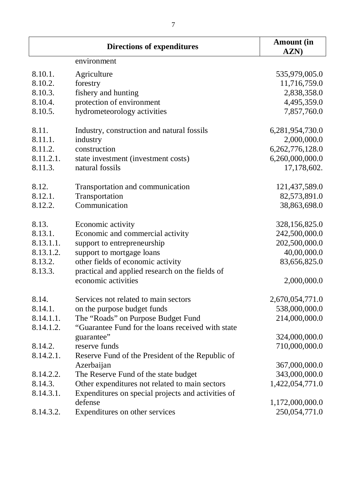|           | <b>Directions of expenditures</b>                  | <b>Amount</b> (in<br>AZN) |
|-----------|----------------------------------------------------|---------------------------|
|           | environment                                        |                           |
| 8.10.1.   | Agriculture                                        | 535,979,005.0             |
| 8.10.2.   | forestry                                           | 11,716,759.0              |
| 8.10.3.   | fishery and hunting                                | 2,838,358.0               |
| 8.10.4.   | protection of environment                          | 4,495,359.0               |
| 8.10.5.   | hydrometeorology activities                        | 7,857,760.0               |
| 8.11.     | Industry, construction and natural fossils         | 6,281,954,730.0           |
| 8.11.1.   | industry                                           | 2,000,000.0               |
| 8.11.2.   | construction                                       | 6,262,776,128.0           |
| 8.11.2.1. | state investment (investment costs)                | 6,260,000,000.0           |
| 8.11.3.   | natural fossils                                    | 17,178,602.               |
| 8.12.     | Transportation and communication                   | 121,437,589.0             |
| 8.12.1.   | Transportation                                     | 82,573,891.0              |
| 8.12.2.   | Communication                                      | 38,863,698.0              |
| 8.13.     | Economic activity                                  | 328,156,825.0             |
| 8.13.1.   | Economic and commercial activity                   | 242,500,000.0             |
| 8.13.1.1. | support to entrepreneurship                        | 202,500,000.0             |
| 8.13.1.2. | support to mortgage loans                          | 40,00,000.0               |
| 8.13.2.   | other fields of economic activity                  | 83,656,825.0              |
| 8.13.3.   | practical and applied research on the fields of    |                           |
|           | economic activities                                | 2,000,000.0               |
| 8.14.     | Services not related to main sectors               | 2,670,054,771.0           |
| 8.14.1.   | on the purpose budget funds                        | 538,000,000.0             |
| 8.14.1.1. | The "Roads" on Purpose Budget Fund                 | 214,000,000.0             |
| 8.14.1.2. | "Guarantee Fund for the loans received with state  |                           |
|           | guarantee"                                         | 324,000,000.0             |
| 8.14.2.   | reserve funds                                      | 710,000,000.0             |
| 8.14.2.1. | Reserve Fund of the President of the Republic of   |                           |
|           | Azerbaijan                                         | 367,000,000.0             |
| 8.14.2.2. | The Reserve Fund of the state budget               | 343,000,000.0             |
| 8.14.3.   | Other expenditures not related to main sectors     | 1,422,054,771.0           |
| 8.14.3.1. | Expenditures on special projects and activities of |                           |
|           | defense                                            | 1,172,000,000.0           |
| 8.14.3.2. | Expenditures on other services                     | 250,054,771.0             |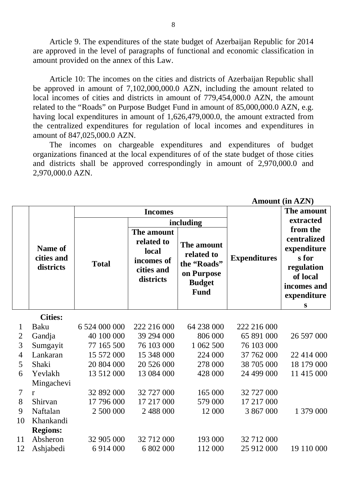Article 9. The expenditures of the state budget of Azerbaijan Republic for 2014 are approved in the level of paragraphs of functional and economic classification in amount provided on the annex of this Law.

Article 10: The incomes on the cities and districts of Azerbaijan Republic shall be approved in amount of 7,102,000,000.0 AZN, including the amount related to local incomes of cities and districts in amount of 779,454,000.0 AZN, the amount related to the "Roads" on Purpose Budget Fund in amount of 85,000,000.0 AZN, e.g. having local expenditures in amount of 1,626,479,000.0, the amount extracted from the centralized expenditures for regulation of local incomes and expenditures in amount of 847,025,000.0 AZN.

The incomes on chargeable expenditures and expenditures of budget organizations financed at the local expenditures of of the state budget of those cities and districts shall be approved correspondingly in amount of 2,970,000.0 and 2,970,000.0 AZN.

|                |                                           |               |                                                                            |                                                                                       |                     | <b>Amount (in AZN)</b>                                                                                                 |
|----------------|-------------------------------------------|---------------|----------------------------------------------------------------------------|---------------------------------------------------------------------------------------|---------------------|------------------------------------------------------------------------------------------------------------------------|
|                |                                           |               | <b>Incomes</b>                                                             |                                                                                       |                     | The amount                                                                                                             |
|                | <b>Name of</b><br>cities and<br>districts | including     |                                                                            |                                                                                       |                     | extracted                                                                                                              |
|                |                                           | <b>Total</b>  | The amount<br>related to<br>local<br>incomes of<br>cities and<br>districts | The amount<br>related to<br>the "Roads"<br>on Purpose<br><b>Budget</b><br><b>Fund</b> | <b>Expenditures</b> | from the<br>centralized<br>expenditure<br>s for<br>regulation<br>of local<br>incomes and<br>expenditure<br>$\mathbf S$ |
|                | <b>Cities:</b>                            |               |                                                                            |                                                                                       |                     |                                                                                                                        |
| $\mathbf 1$    | Baku                                      | 6 524 000 000 | 222 216 000                                                                | 64 238 000                                                                            | 222 216 000         |                                                                                                                        |
| $\overline{2}$ | Gandja                                    | 40 100 000    | 39 294 000                                                                 | 806 000                                                                               | 65 891 000          | 26 597 000                                                                                                             |
| 3              | Sumgayit                                  | 77 165 500    | 76 103 000                                                                 | 1 062 500                                                                             | 76 103 000          |                                                                                                                        |
| $\overline{4}$ | Lankaran                                  | 15 572 000    | 15 348 000                                                                 | 224 000                                                                               | 37 762 000          | 22 414 000                                                                                                             |
| 5              | Shaki                                     | 20 804 000    | 20 526 000                                                                 | 278 000                                                                               | 38 705 000          | 18 179 000                                                                                                             |
| 6              | Yevlakh                                   | 13 512 000    | 13 084 000                                                                 | 428 000                                                                               | 24 499 000          | 11 415 000                                                                                                             |
|                | Mingachevi                                |               |                                                                            |                                                                                       |                     |                                                                                                                        |
| $\tau$         | $\mathbf{r}$                              | 32 892 000    | 32 727 000                                                                 | 165 000                                                                               | 32 727 000          |                                                                                                                        |
| 8              | Shirvan                                   | 17 796 000    | 17 217 000                                                                 | 579 000                                                                               | 17 217 000          |                                                                                                                        |
| 9              | Naftalan                                  | 2 500 000     | 2 488 000                                                                  | 12 000                                                                                | 3 867 000           | 1 379 000                                                                                                              |
| 10             | Khankandi                                 |               |                                                                            |                                                                                       |                     |                                                                                                                        |
|                | <b>Regions:</b>                           |               |                                                                            |                                                                                       |                     |                                                                                                                        |
| 11             | Absheron                                  | 32 905 000    | 32 712 000                                                                 | 193 000                                                                               | 32 712 000          |                                                                                                                        |
| 12             | Ashjabedi                                 | 6 9 14 0 00   | 6 802 000                                                                  | 112 000                                                                               | 25 912 000          | 19 110 000                                                                                                             |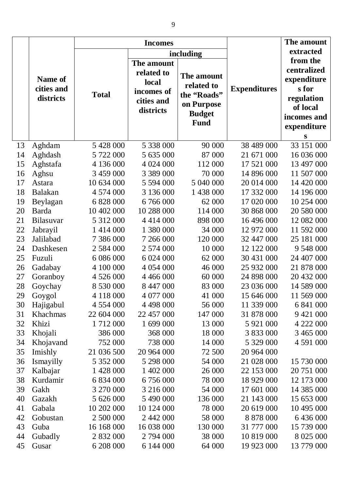|    |                                           | <b>Incomes</b> |                                                                            |                                                                                       |                     | The amount                                                                                                   |
|----|-------------------------------------------|----------------|----------------------------------------------------------------------------|---------------------------------------------------------------------------------------|---------------------|--------------------------------------------------------------------------------------------------------------|
|    |                                           |                | including                                                                  |                                                                                       |                     | extracted                                                                                                    |
|    | <b>Name of</b><br>cities and<br>districts | <b>Total</b>   | The amount<br>related to<br>local<br>incomes of<br>cities and<br>districts | The amount<br>related to<br>the "Roads"<br>on Purpose<br><b>Budget</b><br><b>Fund</b> | <b>Expenditures</b> | from the<br>centralized<br>expenditure<br>s for<br>regulation<br>of local<br>incomes and<br>expenditure<br>S |
| 13 | Aghdam                                    | 5 428 000      | 5 338 000                                                                  | 90 000                                                                                | 38 489 000          | 33 151 000                                                                                                   |
| 14 | Aghdash                                   | 5 722 000      | 5 635 000                                                                  | 87 000                                                                                | 21 671 000          | 16 036 000                                                                                                   |
| 15 | Aghstafa                                  | 4 136 000      | 4 024 000                                                                  | 112 000                                                                               | 17 521 000          | 13 497 000                                                                                                   |
| 16 | Aghsu                                     | 3 459 000      | 3 389 000                                                                  | 70 000                                                                                | 14 896 000          | 11 507 000                                                                                                   |
| 17 | Astara                                    | 10 634 000     | 5 594 000                                                                  | 5 040 000                                                                             | 20 014 000          | 14 420 000                                                                                                   |
| 18 | <b>Balakan</b>                            | 4 574 000      | 3 136 000                                                                  | 1 438 000                                                                             | 17 332 000          | 14 196 000                                                                                                   |
| 19 | Beylagan                                  | 6 828 000      | 6 766 000                                                                  | 62 000                                                                                | 17 020 000          | 10 254 000                                                                                                   |
| 20 | Barda                                     | 10 402 000     | 10 288 000                                                                 | 114 000                                                                               | 30 868 000          | 20 580 000                                                                                                   |
| 21 | Bilasuvar                                 | 5 312 000      | 4 4 1 4 0 0 0                                                              | 898 000                                                                               | 16 496 000          | 12 082 000                                                                                                   |
| 22 | Jabrayil                                  | 1 4 1 4 0 0 0  | 1 380 000                                                                  | 34 000                                                                                | 12 972 000          | 11 592 000                                                                                                   |
| 23 | Jalilabad                                 | 7 386 000      | 7 266 000                                                                  | 120 000                                                                               | 32 447 000          | 25 181 000                                                                                                   |
| 24 | Dashkesen                                 | 2 5 8 4 0 0 0  | 2 574 000                                                                  | 10 000                                                                                | 12 122 000          | 9 548 000                                                                                                    |
| 25 | Fuzuli                                    | 6 086 000      | 6 024 000                                                                  | 62 000                                                                                | 30 431 000          | 24 407 000                                                                                                   |
| 26 | Gadabay                                   | 4 100 000      | 4 0 54 0 00                                                                | 46 000                                                                                | 25 932 000          | 21 878 000                                                                                                   |
| 27 | Goranboy                                  | 4 526 000      | 4 4 6 6 0 0 0                                                              | 60 000                                                                                | 24 898 000          | 20 432 000                                                                                                   |
| 28 | Goychay                                   | 8 530 000      | 8 447 000                                                                  | 83 000                                                                                | 23 036 000          | 14 589 000                                                                                                   |
| 29 | Goygol                                    | 4 118 000      | 4 077 000                                                                  | 41 000                                                                                | 15 646 000          | 11 569 000                                                                                                   |
| 30 | Hajigabul                                 | 4 5 5 4 0 0 0  | 4 4 9 8 0 0 0                                                              | 56 000                                                                                | 11 339 000          | 6 841 000                                                                                                    |
| 31 | Khachmas                                  | 22 604 000     | 22 457 000                                                                 | 147 000                                                                               | 31 878 000          | 9 4 21 0 0 0                                                                                                 |
| 32 | Khizi                                     | 1 712 000      | 1 699 000                                                                  | 13 000                                                                                | 5 921 000           | 4 222 000                                                                                                    |
| 33 | Khojali                                   | 386 000        | 368 000                                                                    | 18 000                                                                                | 3 833 000           | 3 465 000                                                                                                    |
| 34 | Khojavand                                 | 752 000        | 738 000                                                                    | 14 000                                                                                | 5 329 000           | 4 591 000                                                                                                    |
| 35 | Imishly                                   | 21 036 500     | 20 964 000                                                                 | 72 500                                                                                | 20 964 000          |                                                                                                              |
| 36 | Ismayilly                                 | 5 352 000      | 5 298 000                                                                  | 54 000                                                                                | 21 028 000          | 15 730 000                                                                                                   |
| 37 | Kalbajar                                  | 1 428 000      | 1 402 000                                                                  | 26 000                                                                                | 22 153 000          | 20 751 000                                                                                                   |
| 38 | Kurdamir                                  | 6 834 000      | 6 756 000                                                                  | 78 000                                                                                | 18 929 000          | 12 173 000                                                                                                   |
| 39 | Gakh                                      | 3 270 000      | 3 216 000                                                                  | 54 000                                                                                | 17 601 000          | 14 385 000                                                                                                   |
| 40 | Gazakh                                    | 5 626 000      | 5 490 000                                                                  | 136 000                                                                               | 21 143 000          | 15 653 000                                                                                                   |
| 41 | Gabala                                    | 10 202 000     | 10 124 000                                                                 | 78 000                                                                                | 20 619 000          | 10 495 000                                                                                                   |
| 42 | Gobustan                                  | 2 500 000      | 2 442 000                                                                  | 58 000                                                                                | 8 878 000           | 6 436 000                                                                                                    |
| 43 | Guba                                      | 16 168 000     | 16 038 000                                                                 | 130 000                                                                               | 31 777 000          | 15 739 000                                                                                                   |
| 44 | Gubadly                                   | 2 832 000      | 2 794 000                                                                  | 38 000                                                                                | 10 819 000          | 8 0 25 0 00                                                                                                  |
| 45 | Gusar                                     | 6 208 000      | 6 144 000                                                                  | 64 000                                                                                | 19 923 000          | 13 779 000                                                                                                   |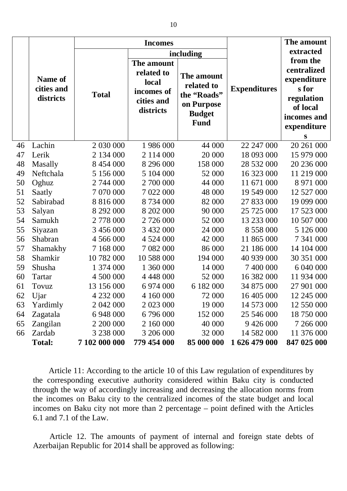|    |                                           | <b>Incomes</b> |                                                                            |                                                                                       |                     | The amount                                                                                                   |
|----|-------------------------------------------|----------------|----------------------------------------------------------------------------|---------------------------------------------------------------------------------------|---------------------|--------------------------------------------------------------------------------------------------------------|
|    |                                           | including      |                                                                            |                                                                                       | extracted           |                                                                                                              |
|    | <b>Name of</b><br>cities and<br>districts | <b>Total</b>   | The amount<br>related to<br>local<br>incomes of<br>cities and<br>districts | The amount<br>related to<br>the "Roads"<br>on Purpose<br><b>Budget</b><br><b>Fund</b> | <b>Expenditures</b> | from the<br>centralized<br>expenditure<br>s for<br>regulation<br>of local<br>incomes and<br>expenditure<br>S |
| 46 | Lachin                                    | 2 030 000      | 1 986 000                                                                  | 44 000                                                                                | 22 247 000          | 20 261 000                                                                                                   |
| 47 | Lerik                                     | 2 134 000      | 2 114 000                                                                  | 20 000                                                                                | 18 093 000          | 15 979 000                                                                                                   |
| 48 | Masally                                   | 8 454 000      | 8 296 000                                                                  | 158 000                                                                               | 28 532 000          | 20 236 000                                                                                                   |
| 49 | Neftchala                                 | 5 156 000      | 5 104 000                                                                  | 52 000                                                                                | 16 323 000          | 11 219 000                                                                                                   |
| 50 | Oghuz                                     | 2 744 000      | 2 700 000                                                                  | 44 000                                                                                | 11 671 000          | 8 971 000                                                                                                    |
| 51 | Saatly                                    | 7 070 000      | 7 022 000                                                                  | 48 000                                                                                | 19 549 000          | 12 527 000                                                                                                   |
| 52 | Sabirabad                                 | 8 816 000      | 8 734 000                                                                  | 82 000                                                                                | 27 833 000          | 19 099 000                                                                                                   |
| 53 | Salyan                                    | 8 292 000      | 8 202 000                                                                  | 90 000                                                                                | 25 725 000          | 17 523 000                                                                                                   |
| 54 | Samukh                                    | 2 778 000      | 2 726 000                                                                  | 52 000                                                                                | 13 233 000          | 10 507 000                                                                                                   |
| 55 | Siyazan                                   | 3 456 000      | 3 432 000                                                                  | 24 000                                                                                | 8 558 000           | 5 126 000                                                                                                    |
| 56 | Shabran                                   | 4 566 000      | 4 5 24 0 0 0                                                               | 42 000                                                                                | 11 865 000          | 7 341 000                                                                                                    |
| 57 | Shamakhy                                  | 7 168 000      | 7 082 000                                                                  | 86 000                                                                                | 21 186 000          | 14 104 000                                                                                                   |
| 58 | Shamkir                                   | 10 782 000     | 10 588 000                                                                 | 194 000                                                                               | 40 939 000          | 30 351 000                                                                                                   |
| 59 | Shusha                                    | 1 374 000      | 1 360 000                                                                  | 14 000                                                                                | 7 400 000           | 6 040 000                                                                                                    |
| 60 | Tartar                                    | 4 500 000      | 4 4 4 4 0 0 0                                                              | 52 000                                                                                | 16 382 000          | 11 934 000                                                                                                   |
| 61 | Tovuz                                     | 13 156 000     | 6 974 000                                                                  | 6 182 000                                                                             | 34 875 000          | 27 901 000                                                                                                   |
| 62 | Ujar                                      | 4 232 000      | 4 160 000                                                                  | 72 000                                                                                | 16 405 000          | 12 245 000                                                                                                   |
| 63 | Yardimly                                  | 2 042 000      | 2 023 000                                                                  | 19 000                                                                                | 14 573 000          | 12 550 000                                                                                                   |
| 64 | Zagatala                                  | 6 948 000      | 6 796 000                                                                  | 152 000                                                                               | 25 546 000          | 18 750 000                                                                                                   |
| 65 | Zangilan                                  | 2 200 000      | 2 160 000                                                                  | 40 000                                                                                | 9 4 2 6 0 0 0       | 7 266 000                                                                                                    |
| 66 | Zardab                                    | 3 238 000      | 3 206 000                                                                  | 32 000                                                                                | 14 582 000          | 11 376 000                                                                                                   |
|    | <b>Total:</b>                             | 7 102 000 000  | 779 454 000                                                                | 85 000 000                                                                            | 1 626 479 000       | 847 025 000                                                                                                  |

Article 11: According to the article 10 of this Law regulation of expenditures by the corresponding executive authority considered within Baku city is conducted through the way of accordingly increasing and decreasing the allocation norms from the incomes on Baku city to the centralized incomes of the state budget and local incomes on Baku city not more than 2 percentage – point defined with the Articles 6.1 and 7.1 of the Law.

Article 12. The amounts of payment of internal and foreign state debts of Azerbaijan Republic for 2014 shall be approved as following: